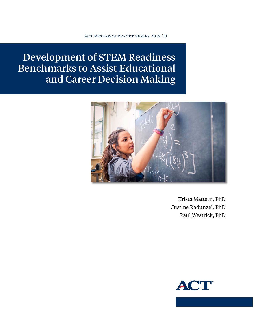ACT Research Report Series 2015 (3)

Development of STEM Readiness Benchmarks to Assist Educational and Career Decision Making



Krista Mattern, PhD Justine Radunzel, PhD Paul Westrick, PhD

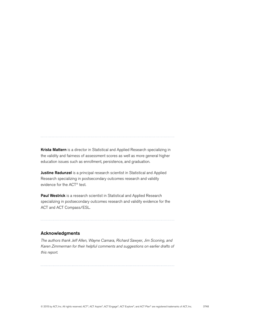Krista Mattern is a director in Statistical and Applied Research specializing in the validity and fairness of assessment scores as well as more general higher education issues such as enrollment, persistence, and graduation.

Justine Radunzel is a principal research scientist in Statistical and Applied Research specializing in postsecondary outcomes research and validity evidence for the ACT® test.

Paul Westrick is a research scientist in Statistical and Applied Research specializing in postsecondary outcomes research and validity evidence for the ACT and ACT Compass/ESL.

#### Acknowledgments

*The authors thank Jeff Allen, Wayne Camara, Richard Sawyer, Jim Sconing, and Karen Zimmerman for their helpful comments and suggestions on earlier drafts of this report.*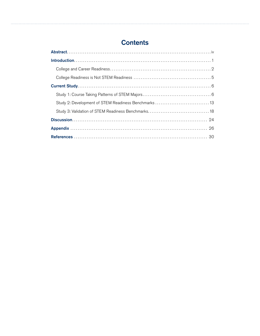# **Contents**

| Study 2: Development of STEM Readiness Benchmarks 13 |
|------------------------------------------------------|
|                                                      |
|                                                      |
|                                                      |
|                                                      |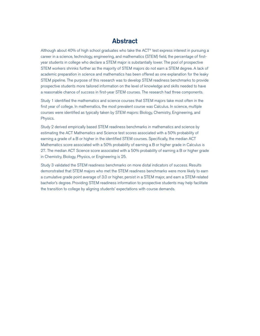## Abstract

<span id="page-3-0"></span>Although about 40% of high school graduates who take the ACT® test express interest in pursuing a career in a science, technology, engineering, and mathematics (STEM) field, the percentage of firstyear students in college who declare a STEM major is substantially lower. The pool of prospective STEM workers shrinks further as the majority of STEM majors do not earn a STEM degree. A lack of academic preparation in science and mathematics has been offered as one explanation for the leaky STEM pipeline. The purpose of this research was to develop STEM readiness benchmarks to provide prospective students more tailored information on the level of knowledge and skills needed to have a reasonable chance of success in first-year STEM courses. The research had three components.

Study 1 identified the mathematics and science courses that STEM majors take most often in the first year of college. In mathematics, the most prevalent course was Calculus. In science, multiple courses were identified as typically taken by STEM majors: Biology, Chemistry, Engineering, and Physics.

Study 2 derived empirically based STEM readiness benchmarks in mathematics and science by estimating the ACT Mathematics and Science test scores associated with a 50% probability of earning a grade of a B or higher in the identified STEM courses. Specifically, the median ACT Mathematics score associated with a 50% probability of earning a B or higher grade in Calculus is 27. The median ACT Science score associated with a 50% probability of earning a B or higher grade in Chemistry, Biology, Physics, or Engineering is 25.

Study 3 validated the STEM readiness benchmarks on more distal indicators of success. Results demonstrated that STEM majors who met the STEM readiness benchmarks were more likely to earn a cumulative grade point average of 3.0 or higher, persist in a STEM major, and earn a STEM-related bachelor's degree. Providing STEM readiness information to prospective students may help facilitate the transition to college by aligning students' expectations with course demands.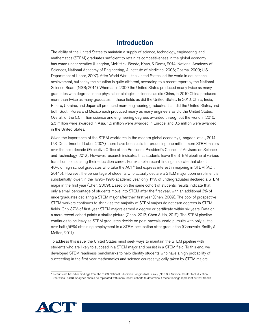## Introduction

<span id="page-4-0"></span>The ability of the United States to maintain a supply of science, technology, engineering, and mathematics (STEM) graduates sufficient to retain its competitiveness in the global economy has come under scrutiny (Langdon, McKittick, Beede, Khan, & Doms, 2014; National Academy of Sciences, National Academy of Engineering, & Institute of Medicine, 2005; Obama, 2009; U.S. Department of Labor, 2007). After World War II, the United States led the world in educational achievement, but today the situation is quite different, according to a recent report by the National Science Board (NSB; 2014). Whereas in 2000 the United States produced nearly twice as many graduates with degrees in the physical or biological sciences as did China, in 2010 China produced more than twice as many graduates in these fields as did the United States. In 2010, China, India, Russia, Ukraine, and Japan all produced more engineering graduates than did the United States, and both South Korea and Mexico each produced nearly as many engineers as did the United States. Overall, of the 5.5 million science and engineering degrees awarded throughout the world in 2010, 2.5 million were awarded in Asia, 1.5 million were awarded in Europe, and 0.5 million were awarded in the United States.

Given the importance of the STEM workforce in the modern global economy (Langdon, et al., 2014; U.S. Department of Labor, 2007), there have been calls for producing one million more STEM majors over the next decade (Executive Office of the President, President's Council of Advisors on Science and Technology, 2012). However, research indicates that students leave the STEM pipeline at various transition points along their education career. For example, recent findings indicate that about 40% of high school graduates who take the ACT® test express interest in majoring in STEM (ACT, 2014b). However, the percentage of students who actually declare a STEM major upon enrollment is substantially lower: in the 1995–1996 academic year, only 17% of undergraduates declared a STEM major in the first year (Chen, 2009). Based on the same cohort of students, results indicate that only a small percentage of students move into STEM after the first year, with an additional 6% of undergraduates declaring a STEM major after their first year (Chen, 2009). The pool of prospective STEM workers continues to shrink as the majority of STEM majors do not earn degrees in STEM fields. Only 37% of first-year STEM majors earned a degree or certificate within six years. Data on a more recent cohort paints a similar picture (Chen, 2013; Chen & Ho, 2012). The STEM pipeline continues to be leaky as STEM graduates decide on post-baccalaureate pursuits with only a little over half (56%) obtaining employment in a STEM occupation after graduation (Carnevale, Smith, & Melton, 2011).<sup>1</sup>

To address this issue, the United States must seek ways to maintain the STEM pipeline with students who are likely to succeed in a STEM major and persist in a STEM field. To this end, we developed STEM readiness benchmarks to help identify students who have a high probability of succeeding in the first-year mathematics and science courses typically taken by STEM majors.



<sup>1</sup> Results are based on findings from the 1988 [National Education Longitudinal Survey](http://nces.ed.gov/surveys/nels88/index.asp) (Nels:88; National Center for Education Statistics, 1988). Analyses should be replicated with more recent cohorts to determine if these findings represent current trends.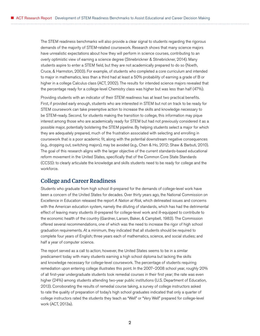<span id="page-5-0"></span>The STEM readiness benchmarks will also provide a clear signal to students regarding the rigorous demands of the majority of STEM-related coursework. Research shows that many science majors have unrealistic expectations about how they will perform in science courses, contributing to an overly optimistic view of earning a science degree (Stinebrickner & Stinebrickner, 2014). Many students aspire to enter a STEM field, but they are not academically prepared to do so (Noeth, Cruce, & Harmston, 2003). For example, of students who completed a core curriculum and intended to major in mathematics, less than a third had at least a 50% probability of earning a grade of B or higher in a college Calculus class (ACT, 2002). The results for intended science majors revealed that the percentage ready for a college-level Chemistry class was higher but was less than half (47%).

Providing students with an indicator of their STEM readiness has at least two practical benefits. First, if provided early enough, students who are interested in STEM but not on track to be ready for STEM coursework can take preemptive action to increase the skills and knowledge necessary to be STEM-ready. Second, for students making the transition to college, this information may pique interest among those who are academically ready for STEM but had not previously considered it as a possible major, potentially bolstering the STEM pipeline. By helping students select a major for which they are adequately prepared, much of the frustration associated with selecting and enrolling in coursework that is a poor academic fit, along with the potential downstream negative consequences (e.g., dropping out, switching majors), may be avoided (e.g., Chen & Ho, 2012; Shaw & Barbuti, 2010). The goal of this research aligns with the larger objective of the current standards-based educational reform movement in the United States, specifically that of the Common Core State Standards (CCSS): to clearly articulate the knowledge and skills students need to be ready for college and the workforce.

## College and Career Readiness

Students who graduate from high school ill-prepared for the demands of college-level work have been a concern of the United States for decades. Over thirty years ago, the National Commission on Excellence in Education released the report *A Nation at Risk*, which delineated issues and concerns with the American education system, namely the diluting of standards, which has had the detrimental effect of leaving many students ill-prepared for college-level work and ill-equipped to contribute to the economic health of the country (Gardner, Larsen, Baker, & Campbell, 1983). The Commission offered several recommendations, one of which was the need to increase the rigor of high school graduation requirements. At a minimum, they indicated that all students should be required to complete four years of English; three years each of mathematics, science, and social studies; and half a year of computer science.

The report served as a call to action; however, the United States seems to be in a similar predicament today with many students earning a high school diploma but lacking the skills and knowledge necessary for college-level coursework. The percentage of students requiring remediation upon entering college illustrates this point. In the 2007–2008 school year, roughly 20% of all first-year undergraduate students took remedial courses in their first year; the rate was even higher (24%) among students attending two-year public institutions (U.S. Department of Education, 2013). Corroborating the results of remedial course taking, a survey of college instructors asked to rate the quality of preparation of today's high school graduates indicated that only a quarter of college instructors rated the students they teach as "Well" or "Very Well" prepared for college-level work (ACT, 2013a).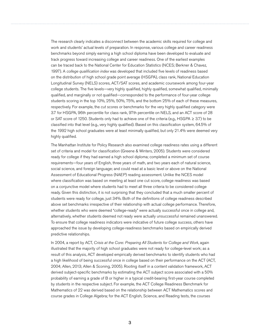The research clearly indicates a disconnect between the academic skills required for college and work and students' actual levels of preparation. In response, various college and career readiness benchmarks beyond simply earning a high school diploma have been developed to evaluate and track progress toward increasing college and career readiness. One of the earliest examples can be traced back to the National Center for Education Statistics (NCES; Berkner & Chavez, 1997). A *college qualification index* was developed that included five levels of readiness based on the distribution of high school grade point average (HSGPA), class rank, National Education Longitudinal Survey (NELS) scores, ACT/SAT scores, and academic coursework among four-year college students. The five levels—very highly qualified, highly qualified, somewhat qualified, minimally qualified, and marginally or not qualified—corresponded to the performance of four-year college students scoring in the top 10%, 25%, 50%, 75%, and the bottom 25% of each of these measures, respectively. For example, the cut scores or benchmarks for the very highly qualified category were 3.7 for HSGPA, 96th percentile for class rank, 97th percentile on NELS, and an ACT score of 28 or SAT score of 1250. Students only had to achieve one of the criteria (e.g., HSGPA ≥ 3.7) to be classified into that level (e.g., very highly qualified). Based on this classification system, 64.5% of the 1992 high school graduates were at least minimally qualified, but only 21.4% were deemed very highly qualified.

The Manhattan Institute for Policy Research also examined college readiness rates using a different set of criteria and model for classification (Greene & Winters, 2005). Students were considered ready for college if they had earned a high school diploma; completed a minimum set of course requirements—four years of English, three years of math, and two years each of natural science, social science, and foreign language; and could read at a basic level or above on the National Assessment of Educational Progress (NAEP) reading assessment. Unlike the NCES model where classification was based on meeting at least one cut score, college readiness was based on a conjunctive model where students had to meet all three criteria to be considered college ready. Given this distinction, it is not surprising that they concluded that a much smaller percent of students were ready for college, just 34%. Both of the definitions of college readiness described above set benchmarks irrespective of their relationship with actual college performance. Therefore, whether students who were deemed "college-ready" were actually successful once in college and, alternatively, whether students deemed not ready were actually unsuccessful remained unanswered. To ensure that college readiness indicators were indicative of future college success, others have approached the issue by developing college-readiness benchmarks based on empirically derived predictive relationships.

In 2004, a report by ACT, *Crisis at the Core: Preparing All Students for College and Work*, again illustrated that the majority of high school graduates were not ready for college-level work; as a result of this analysis, ACT developed empirically derived benchmarks to identify students who had a high likelihood of being successful once in college based on their performance on the ACT (ACT, 2004; Allen, 2013; Allen & Sconing, 2005). Rooting itself in a content validation framework, ACT derived subject-specific benchmarks by estimating the ACT subject score associated with a 50% probability of earning a grade of B or higher in a typical credit-bearing first-year course completed by students in the respective subject. For example, the ACT College Readiness Benchmark for Mathematics of 22 was derived based on the relationship between ACT Mathematics scores and course grades in College Algebra; for the ACT English, Science, and Reading tests, the courses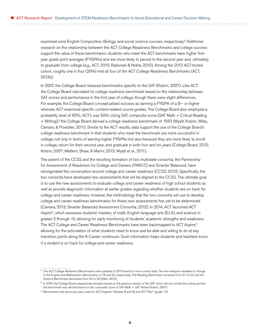examined were English Composition, Biology, and social science courses, respectively.<sup>2</sup> Additional research on the relationship between the ACT College Readiness Benchmarks and college success support the value of these benchmarks: students who meet the ACT benchmarks have higher firstyear grade point averages (FYGPAs) and are more likely to persist to the second year and, ultimately, to graduate from college (e.g., ACT, 2010; Radunzel & Noble, 2012). Among the 2013 ACT-tested cohort, roughly one in four (26%) met all four of the ACT College Readiness Benchmarks (ACT, 2013b).

In 2007, the College Board released benchmarks specific to the SAT (Kobrin, 2007). Like ACT, the College Board calculated its college readiness benchmark based on the relationship between SAT scores and performance in the first year of college, though there were slight differences. For example, the College Board conceptualized success as earning a FYGPA of a B− or higher whereas ACT examined specific content-related course grades. The College Board also employed a probability level of 65%; ACT's was 50%. Using SAT composite score (SAT Math + Critical Reading + Writing),<sup>3</sup> the College Board derived a college readiness benchmark of 1550 (Wyatt, Kobrin, Wiley, Camara, & Proestler, 2011). Similar to the ACT results, data support the use of the College Board's college readiness benchmark in that students who meet the benchmark are more successful in college, not only in terms of earning higher FYGPAs but also because they are more likely to enroll in college, return for their second year, and graduate in both four and six years (College Board, 2012; Kobrin, 2007; Mattern, Shaw, & Marini, 2013; Wyatt et al., 2011).

The advent of the CCSS and the resulting formation of two multistate consortia, the Partnership for Assessment of Readiness for College and Careers (PARCC) and Smarter Balanced, have reinvigorated the conversation around college and career readiness (CCSS, 2010). Specifically, the two consortia have developed new assessments that will be aligned to the CCSS. The ultimate goal is to use the new assessments to evaluate college and career readiness of high school students as well as provide diagnostic information at earlier grades regarding whether students are on track for college and career readiness; however, the methodology that the two consortia will use to develop college and career readiness benchmarks for these new assessments has yet to be determined (Camara, 2013; Smarter Balanced Assessment Consortia, 2012). In 2014, ACT launched ACT Aspire®, which assesses students' mastery of math, English language arts (ELA), and science in grades 3 through 10, allowing for early monitoring of students' academic strengths and weakness. The ACT College and Career Readiness Benchmarks have been backmapped to ACT Aspire,<sup>4</sup> allowing for the articulation of what students need to know and be able and willing to do at key transition points along the K-Career continuum. Such information helps students and teachers know if a student is on track for college and career readiness.

<sup>&</sup>lt;sup>2</sup> The ACT College Readiness Benchmarks were updated in 2013 based on more current data. The new analyses revealed no change in the English and Mathematics Benchmarks of 18 and 22, respectively. The Reading Benchmark increased from 21 to 22, and the Science Benchmark decreased from 24 to 23 (Allen, 2013).

<sup>&</sup>lt;sup>3</sup> In 2007, the College Board released benchmarks based on the previous version of the SAT, which did not include the writing section; the benchmark was derived based on the composite score of SAT Math + SAT Verbal (Kobrin, 2007).

<sup>4</sup> Benchmarks had previously been used for ACT Explore® (Grades 8 and 9) and ACT Plan® (grade 10).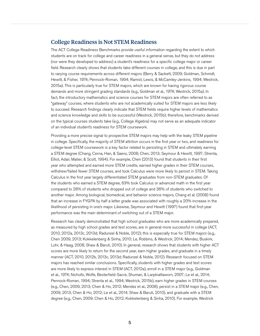## <span id="page-8-0"></span>College Readiness is Not STEM Readiness

The ACT College Readiness Benchmarks provide useful information regarding the extent to which students are on track for college and career readiness in a general sense, but they do not address (nor were they developed to address) a student's readiness for a specific college major or career field. Research clearly shows that students take different courses in college, and this is due in part to varying course requirements across different majors (Berry & Sackett, 2009; Goldman, Schmidt, Hewitt, & Fisher, 1974; Pennock-Roman, 1994; Ramist, Lewis, & McCamley-Jenkins, 1994; Westrick, 2015a). This is particularly true for STEM majors, which are known for having rigorous course demands and more stringent grading standards (e.g., Goldman et al., 1974; Westrick, 2015a). In fact, the introductory mathematics and science courses for STEM majors are often referred to as "gateway" courses, where students who are not academically suited for STEM majors are less likely to succeed. Research findings clearly indicate that STEM fields require higher levels of mathematics and science knowledge and skills to be successful (Westrick, 2015b); therefore, benchmarks derived on the typical courses students take (e.g., College Algebra) may not serve as an adequate indicator of an individual student's readiness for STEM coursework.

Providing a more precise signal to prospective STEM majors may help with the leaky STEM pipeline in college. Specifically, the majority of STEM attrition occurs in the first year or two, and readiness for college-level STEM coursework is a key factor related to persisting in STEM and ultimately earning a STEM degree (Chang, Cerna, Han, & Saenz, 2008; Chen, 2013; Seymour & Hewitt, 1997; Strenta, Elliot, Adair, Matier, & Scott, 1994). For example, Chen (2013) found that students in their first year who attempted and earned more STEM credits, earned higher grades in their STEM courses, withdrew/failed fewer STEM courses, and took Calculus were more likely to persist in STEM. Taking Calculus in the first year largely differentiated STEM graduates from non-STEM graduates. Of the students who earned a STEM degree, 63% took Calculus or advanced math in the first year compared to 28% of students who dropped out of college and 36% of students who switched to another major. Among biological, biomedical, and behavior science majors, Chang et al. (2008) found that an increase in FYGPA by half a letter grade was associated with roughly a 20% increase in the likelihood of persisting in one's major. Likewise, Seymour and Hewitt (1997) found that first-year performance was the main determinant of switching out of a STEM major.

Research has clearly demonstrated that high school graduates who are more academically prepared, as measured by high school grades and test scores, are in general more successful in college (ACT, 2010, 2012a, 2013c, 2013d; Radunzel & Noble, 2012); this is especially true for STEM majors (e.g., Chen 2009, 2013; Kokkelenberg & Sinha, 2010; Le, Robbins, & Westrick, 2014; Mendez, Buskirk, Lohr, & Haag, 2008; Shaw & Baruti, 2010). In general, research shows that students with higher ACT scores are more likely to return for the second year, earn higher grades, and graduate in a timely manner (ACT, 2010, 2012b, 2013c, 2013d; Radunzel & Noble, 2012). Research focused on STEM majors has reached similar conclusions. Specifically, students with higher grades and test scores are more likely to express interest in STEM (ACT, 2012a), enroll in a STEM major (e.g., Goldman et al., 1974; Nicholls, Wolfe, Besterfield-Sacre, Shuman, & Larpkiattaworn, 2007; Le et al., 2014; Pennock-Roman, 1994; Strenta et al., 1994; Westrick, 2015b), earn higher grades in STEM courses (e.g., Chen, 2009, 2013; Chen & Ho, 2012; Mendez et al., 2008), persist in a STEM major (e.g., Chen, 2009, 2013; Chen & Ho, 2012; Le et al., 2014; Shaw & Baruti, 2010), and graduate with a STEM degree (e.g., Chen, 2009; Chen & Ho, 2012; Kokkelenberg & Sinha, 2010). For example, Westrick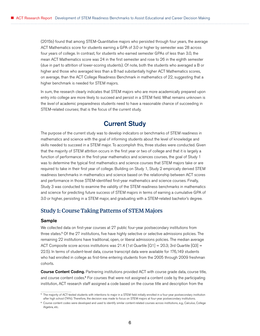<span id="page-9-0"></span>(2015b) found that among STEM-Quantitative majors who persisted through four years, the average ACT Mathematics score for students earning a GPA of 3.0 or higher by semester was 28 across four years of college. In contrast, for students who earned semester GPAs of less than 3.0, the mean ACT Mathematics score was 24 in the first semester and rose to 26 in the eighth semester (due in part to attrition of lower-scoring students). Of note, both the students who averaged a B or higher and those who averaged less than a B had substantially higher ACT Mathematics scores, on average, than the ACT College Readiness Benchmark in mathematics of 22, suggesting that a higher benchmark is needed for STEM majors.

In sum, the research clearly indicates that STEM majors who are more academically prepared upon entry into college are more likely to succeed and persist in a STEM field. What remains unknown is the *level* of academic preparedness students need to have a reasonable chance of succeeding in STEM-related courses; that is the focus of the current study.

## Current Study

The purpose of the current study was to develop indicators or benchmarks of STEM readiness in mathematics and science with the goal of informing students about the level of knowledge and skills needed to succeed in a STEM major. To accomplish this, three studies were conducted. Given that the majority of STEM attrition occurs in the first year or two of college and that it is largely a function of performance in the first-year mathematics and sciences courses, the goal of Study 1 was to determine the typical first mathematics and science courses that STEM majors take or are required to take in their first year of college. Building on Study 1, Study 2 empirically derived STEM readiness benchmarks in mathematics and science based on the relationship between ACT scores and performance in those STEM-identified first-year mathematics and science courses. Finally, Study 3 was conducted to examine the validity of the STEM readiness benchmarks in mathematics and science for predicting future success of STEM majors in terms of earning a cumulative GPA of 3.0 or higher, persisting in a STEM major, and graduating with a STEM-related bachelor's degree.

### Study 1: Course Taking Patterns of STEM Majors

#### Sample

We collected data on first-year courses at 27 public four-year postsecondary institutions from three states.<sup>5</sup> Of the 27 institutions, five have highly selective or selective admissions policies. The remaining 22 institutions have traditional, open, or liberal admissions policies. The median average ACT Composite score across institutions was 21.4 (1st Quartile  $[Q1] = 20.3$ ; 3rd Quartile  $[Q3] =$ 22.5). In terms of student-level data, course transcript data were available for 176,149 students who had enrolled in college as first-time entering students from the 2005 through 2009 freshman cohorts.

**Course Content Coding.** Partnering institutions provided ACT with course grade data, course title, and course content codes.<sup>6</sup> For courses that were not assigned a content code by the participating institution, ACT research staff assigned a code based on the course title and description from the

<sup>&</sup>lt;sup>5</sup> The majority of ACT-tested students with intentions to major in a STEM field initially enrolled in a four-year postsecondary institution after high school (74%). Therefore, the decision was made to focus on STEM majors at four-year postsecondary institutions.

<sup>6</sup> Course content codes were developed and used to identify similar content-related courses across institutions, e.g., Calculus, College Algebra, etc.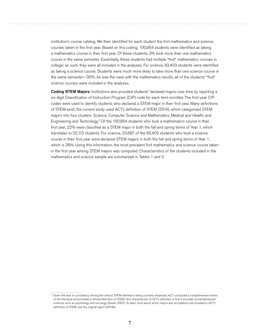institution's course catalog. We then identified for each student the first mathematics and science courses taken in the first year. Based on this coding, 100,954 students were identified as taking a mathematics course in their first year. Of these students, 3% took more than one mathematics course in the same semester. Essentially, these students had multiple "first" mathematics courses in college; as such, they were all included in the analyses. For science, 83,403 students were identified as taking a science course. Students were much more likely to take more than one science course in the same semester—30%. As was the case with the mathematics results, all of the students' "first" science courses were included in the analyses.

Coding STEM Majors. Institutions also provided students' declared majors over time by reporting a six-digit Classification of Instruction Program (CIP) code for each term enrolled. The first-year CIP codes were used to identify students who declared a STEM major in their first year. Many definitions of STEM exist; the current study used ACT's definition of STEM (2014), which categorized STEM majors into four clusters: Science, Computer Science and Mathematics, Medical and Health, and Engineering and Technology.<sup>7</sup> Of the 100,954 students who took a mathematics course in their first year, 22% were classified as a STEM major in both the fall and spring terms of Year 1, which translates to 22,113 students. For science, 23,687 of the 83,403 students who took a science course in their first year were declared STEM majors in both the fall and spring terms of Year 1, which is 28%. Using this information, the most prevalent first mathematics and science course taken in the first year among STEM majors was computed. Characteristics of the students included in the mathematics and science sample are summarized in Tables 1 and 2.

<sup>7</sup> Given the lack of consistency among the various STEM definitions being currently employed, ACT conducted a comprehensive review of the literature and provided a refined definition of STEM. One characteristic of ACT's definition is that it excludes social/behavioral sciences such as psychology and sociology (Green, 2007). To learn more about which majors and occupations are included in ACT's definition of STEM, see [the original report](http://www.act.org/stemcondition/13/pdf/National-STEM-Report-2013.pdf) (2014b).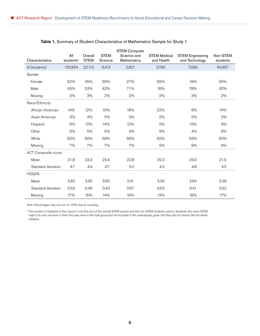|                     |                              |                        |                        | <b>STEM Computer</b>       |                                   |                                           |                      |
|---------------------|------------------------------|------------------------|------------------------|----------------------------|-----------------------------------|-------------------------------------------|----------------------|
| Characteristics     | All<br>students <sup>a</sup> | Overall<br><b>STEM</b> | <b>STEM</b><br>Science | Science and<br>Mathematics | <b>STEM Medical</b><br>and Health | <b>STEM Engineering</b><br>and Technology | Non-STEM<br>students |
| N (students)        | 100,954                      | 22,113                 | 8,413                  | 2,821                      | 3,780                             | 7,099                                     | 64,657               |
| Gender              |                              |                        |                        |                            |                                   |                                           |                      |
| Female              | 52%                          | 45%                    | 55%                    | 27%                        | 82%                               | 19%                                       | 55%                  |
| Male                | 45%                          | 53%                    | 42%                    | 71%                        | 16%                               | 78%                                       | 42%                  |
| Missing             | 2%                           | 3%                     | 2%                     | 2%                         | 2%                                | 3%                                        | 2%                   |
| Race/Ethnicity      |                              |                        |                        |                            |                                   |                                           |                      |
| African American    | 14%                          | 12%                    | 10%                    | 18%                        | 22%                               | 6%                                        | 14%                  |
| Asian American      | 3%                           | 4%                     | 5%                     | 3%                         | 2%                                | 5%                                        | 2%                   |
| Hispanic            | 9%                           | 12%                    | 14%                    | 12%                        | 5%                                | 13%                                       | 9%                   |
| Other               | 6%                           | 5%                     | 5%                     | 4%                         | 5%                                | 4%                                        | 6%                   |
| White               | 62%                          | 60%                    | 59%                    | 56%                        | 62%                               | 63%                                       | 62%                  |
| Missing             | 7%                           | 7%                     | 7%                     | 7%                         | 5%                                | 9%                                        | 6%                   |
| ACT Composite score |                              |                        |                        |                            |                                   |                                           |                      |
| Mean                | 21.8                         | 23.3                   | 23.4                   | 22.8                       | 20.3                              | 25.0                                      | 21.5                 |
| Standard deviation  | 4.7                          | 4.9                    | 4.7                    | 5.2                        | 4.2                               | 4.8                                       | 4.5                  |
| <b>HSGPA</b>        |                              |                        |                        |                            |                                   |                                           |                      |
| Mean                | 3.40                         | 3.55                   | 3.60                   | 3.41                       | 3.36                              | 3.64                                      | 3.38                 |
| Standard deviation  | 0.53                         | 0.48                   | 0.43                   | 0.57                       | 0.53                              | 0.41                                      | 0.52                 |
| Missing             | 17%                          | 15%                    | 14%                    | 16%                        | 13%                               | 16%                                       | 17%                  |

#### Table 1. Summary of Student Characteristics of Mathematics Sample for Study 1

*Note.* Percentages may not sum to 100% due to rounding.

<sup>a</sup> The number of students in this column is not the sum of the overall STEM column and the non-STEM students column. Students who were STEM majors for only one term in their first year were in the total group but not included in the subanalyses, given that they did not cleanly fall into either category.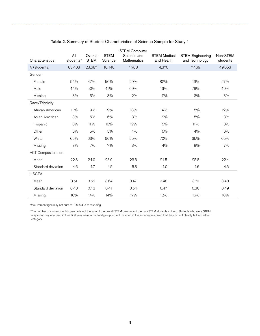|                            |                              |                        |                        | <b>STEM Computer</b>              |                                   |                                           |                      |
|----------------------------|------------------------------|------------------------|------------------------|-----------------------------------|-----------------------------------|-------------------------------------------|----------------------|
| Characteristics            | All<br>students <sup>a</sup> | Overall<br><b>STEM</b> | <b>STEM</b><br>Science | Science and<br><b>Mathematics</b> | <b>STEM Medical</b><br>and Health | <b>STEM Engineering</b><br>and Technology | Non-STEM<br>students |
| N (students)               | 83,403                       | 23,687                 | 10,140                 | 1,708                             | 4,370                             | 7,469                                     | 49,053               |
| Gender                     |                              |                        |                        |                                   |                                   |                                           |                      |
| Female                     | 54%                          | 47%                    | 56%                    | 29%                               | 82%                               | 19%                                       | 57%                  |
| Male                       | 44%                          | 50%                    | 41%                    | 69%                               | 16%                               | 78%                                       | 40%                  |
| Missing                    | 3%                           | 3%                     | 3%                     | 2%                                | 2%                                | 3%                                        | 3%                   |
| Race/Ethnicity             |                              |                        |                        |                                   |                                   |                                           |                      |
| African American           | 11%                          | 9%                     | 9%                     | 18%                               | 14%                               | 5%                                        | 12%                  |
| Asian American             | 3%                           | 5%                     | 6%                     | 3%                                | 2%                                | 5%                                        | 3%                   |
| Hispanic                   | 8%                           | 11%                    | 13%                    | 12%                               | 5%                                | 11%                                       | 8%                   |
| Other                      | 6%                           | 5%                     | 5%                     | 4%                                | 5%                                | 4%                                        | 6%                   |
| White                      | 65%                          | 63%                    | 60%                    | 55%                               | 70%                               | 65%                                       | 65%                  |
| Missing                    | 7%                           | 7%                     | 7%                     | 8%                                | 4%                                | 9%                                        | 7%                   |
| <b>ACT Composite score</b> |                              |                        |                        |                                   |                                   |                                           |                      |
| Mean                       | 22.8                         | 24.0                   | 23.9                   | 23.3                              | 21.5                              | 25.8                                      | 22.4                 |
| Standard deviation         | 4.6                          | 4.7                    | 4.5                    | 5.3                               | 4.0                               | 4.6                                       | 4.5                  |
| <b>HSGPA</b>               |                              |                        |                        |                                   |                                   |                                           |                      |
| Mean                       | 3.51                         | 3.62                   | 3.64                   | 3.47                              | 3.48                              | 3.70                                      | 3.48                 |
| Standard deviation         | 0.48                         | 0.43                   | 0.41                   | 0.54                              | 0.47                              | 0.36                                      | 0.49                 |
| Missing                    | 16%                          | 14%                    | 14%                    | 17%                               | 12%                               | 16%                                       | 16%                  |

#### Table 2. Summary of Student Characteristics of Science Sample for Study 1

*Note.* Percentages may not sum to 100% due to rounding.

<sup>a</sup> The number of students in this column is not the sum of the overall STEM column and the non-STEM students column. Students who were STEM majors for only one term in their first year were in the total group but not included in the subanalyses given that they did not cleanly fall into either category.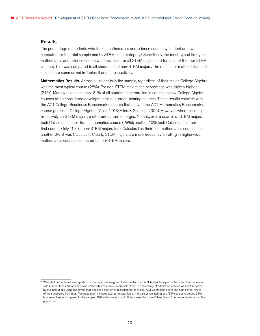#### Results

The percentage of students who took a mathematics and science course by content area was computed for the total sample and by STEM major category.<sup>8</sup> Specifically, the most typical first-year mathematics and science course was examined for all STEM majors and for each of the four STEM clusters. This was compared to all students and non-STEM majors. The results for mathematics and science are summarized in Tables 3 and 4, respectively.

Mathematics Results. Across all students in the sample, regardless of their major, College Algebra was the most typical course (28%). For non-STEM majors, the percentage was slightly higher (31%). Moreover, an additional 21% of all students first enrolled in courses below College Algebra; courses often considered developmental, non-credit-bearing courses. These results coincide with the ACT College Readiness Benchmark research that derived the ACT Mathematics Benchmark on course grades in College Algebra (Allen, 2013; Allen & Sconing, 2005). However, when focusing exclusively on STEM majors, a different pattern emerges. Namely, over a quarter of STEM majors took Calculus I as their first mathematics course (28%); another 10% took Calculus II as their first course. Only 11% of non-STEM majors took Calculus I as their first mathematics courses; for another 2%, it was Calculus II. Clearly, STEM majors are more frequently enrolling in higher-level mathematics courses compared to non-STEM majors.

<sup>&</sup>lt;sup>8</sup> Weighted percentages are reported. The sample was weighted to be similar to an ACT-tested, four-year college enrollee population with respect to institution admission selectivity (less versus more selective). The selectivity of admission policies was self-reported by the institutions using five levels that classified their level according to the typical ACT Composite score and high school ranks of their accepted freshmen. The population included a larger proportion of more selective institutions (39% selective versus 61% less selective) as compared to the sample (19% selective versus 81% less selective). See Tables 5 and 6 for more details about the population.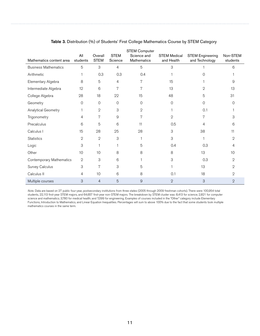| Mathematics content area    | All<br>students | Overall<br><b>STEM</b> | <b>STEM</b><br>Science | <b>STEM Computer</b><br>Science and<br>Mathematics | <b>STEM Medical</b><br>and Health | <b>STEM Engineering</b><br>and Technology | Non-STEM<br>students |
|-----------------------------|-----------------|------------------------|------------------------|----------------------------------------------------|-----------------------------------|-------------------------------------------|----------------------|
| <b>Business Mathematics</b> | 5               | 3                      | 4                      | 5                                                  | 3                                 |                                           | 6                    |
| Arithmetic                  |                 | 0.3                    | 0.3                    | 0.4                                                |                                   | 0                                         |                      |
| Elementary Algebra          | 8               | 5                      | 4                      | 7                                                  | 15                                |                                           | 9                    |
| Intermediate Algebra        | 12              | 6                      | 7                      | 7                                                  | 13                                | 2                                         | 13                   |
| College Algebra             | 28              | 18                     | 22                     | 15                                                 | 48                                | 5                                         | 31                   |
| Geometry                    | 0               | 0                      | $\overline{0}$         | $\mathcal{O}$                                      | 0                                 | $\overline{0}$                            | 0                    |
| Analytical Geometry         |                 | $\mathbf{2}$           | 3                      | $\mathbf{2}$                                       |                                   | 0.1                                       |                      |
| Trigonometry                | 4               | 7                      | 9                      | 7                                                  | $\mathbf 2$                       | 7                                         | 3                    |
| Precalculus                 | 6               | 5                      | 6                      | 11                                                 | 0.5                               | 4                                         | 6                    |
| Calculus I                  | 15              | 28                     | 25                     | 28                                                 | 3                                 | 38                                        | 11                   |
| <b>Statistics</b>           | 2               | $\mathbf 2$            | 3                      |                                                    | 3                                 |                                           | 2                    |
| Logic                       | 3               | 1                      |                        | 5                                                  | 0.4                               | 0.3                                       | 4                    |
| Other                       | 10              | 10                     | 8                      | 8                                                  | 8                                 | 13                                        | 10                   |
| Contemporary Mathematics    | $\mathbf 2$     | 3                      | 6                      |                                                    | 3                                 | 0.3                                       | 2                    |
| Survey Calculus             | 3               | 7                      | 3                      | 5                                                  |                                   | 13                                        | 2                    |
| Calculus II                 | 4               | 10                     | 6                      | 8                                                  | 0.1                               | 18                                        | 2                    |
| Multiple courses            | 3               | $\overline{4}$         | 5                      | 9                                                  | $\overline{2}$                    | 3                                         | $\overline{2}$       |

#### Table 3. Distribution (%) of Students' First College Mathematics Course by STEM Category

*Note.* Data are based on 27 public four-year, postsecondary institutions from three states (2005 through 2009 freshman cohorts). There were 100,954 total students, 22,113 first-year STEM majors, and 64,657 first-year non-STEM majors. The breakdown by STEM cluster was: 8,413 for science; 2,821 for computer science and mathematics; 3,780 for medical health; and 7,099 for engineering. Examples of courses included in the "Other" category include Elementary Functions, Introduction to Mathematics, and Linear Equation Inequalities. Percentages will sum to above 100% due to the fact that some students took multiple mathematics courses in the same term.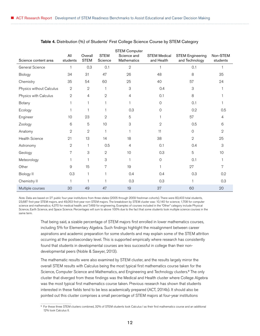|                          |                 |                        |                        | <b>STEM Computer</b>       |                                   |                                           |                      |
|--------------------------|-----------------|------------------------|------------------------|----------------------------|-----------------------------------|-------------------------------------------|----------------------|
| Science content area     | All<br>students | Overall<br><b>STEM</b> | <b>STEM</b><br>Science | Science and<br>Mathematics | <b>STEM Medical</b><br>and Health | <b>STEM Engineering</b><br>and Technology | Non-STEM<br>students |
| General Science          | 1               | 0.3                    | 0.1                    | $\mathbf 2$                |                                   | 0.1                                       |                      |
| Biology                  | 34              | 31                     | 47                     | 26                         | 48                                | 8                                         | 35                   |
| Chemistry                | 35              | 54                     | 60                     | 25                         | 40                                | 57                                        | 24                   |
| Physics without Calculus | $\sqrt{2}$      | $\sqrt{2}$             | $\mathbf{1}$           | 3                          | 0.4                               | 3                                         |                      |
| Physics with Calculus    | $\mathbf 2$     | 4                      | $\mathbf{2}$           | 4                          | 0.1                               | 8                                         |                      |
| Botany                   | 1               | 1                      | 1                      |                            | $\mathcal{O}$                     | 0.1                                       |                      |
| Ecology                  |                 |                        |                        | 0.3                        | $\mathcal{O}$                     | 0.2                                       | 0.5                  |
| Engineer                 | 10              | 23                     | $\mathbf{2}$           | 5                          |                                   | 57                                        | 4                    |
| Zoology                  | 6               | 5                      | 10                     | 3                          | $\mathbf 2$                       | 0.5                                       | 6                    |
| Anatomy                  | $\mathbf 2$     | $\mathbf 2$            | $\mathbf{1}$           |                            | 11                                | $\overline{0}$                            | $\mathbf{2}$         |
| <b>Health Science</b>    | 21              | 13                     | 14                     | 18                         | 38                                | $\mathbf{2}$                              | 25                   |
| Astronomy                | $\mathbf 2$     | 1                      | 0.5                    | 4                          | 0.1                               | 0.4                                       | 3                    |
| Geology                  | 7               | 3                      | $\mathbf{2}$           | 10                         | 0.3                               | 5                                         | 10                   |
| Meteorology              | 1               | 1                      | 3                      |                            | $\mathsf{O}\xspace$               | 0.1                                       |                      |
| Other                    | 9               | 15                     | 7                      | 19                         | 1                                 | 27                                        | 7                    |
| <b>Biology II</b>        | 0.3             | $\mathbf{1}$           | 1                      | 0.4                        | 0.4                               | 0.3                                       | 0.2                  |
| Chemistry II             | 1               |                        |                        | 0.3                        | 0.3                               |                                           | 0.3                  |
| Multiple courses         | 30              | 49                     | 47                     | 19                         | 37                                | 60                                        | 20                   |

Table 4. Distribution (%) of Students' First College Science Course by STEM Category

*Note.* Data are based on 27 public four-year institutions from three states (2005 through 2009 freshman cohorts). There were 83,403 total students, 23,687 first-year STEM majors, and 49,053 first-year non-STEM majors. The breakdown by STEM cluster was: 10,140 for science; 1,708 for computer science and mathematics; 4,370 for medical health; and 7,469 for engineering. Examples of courses included in the "Other" category include Physical Science, Earth Science, and Space Science. Percentages will sum to above 100% due to the fact that some students took multiple science courses in the same term.

> That being said, a sizable percentage of STEM majors first enrolled in lower mathematics courses, including 5% for Elementary Algebra. Such findings highlight the misalignment between career aspirations and academic preparation for some students and may explain some of the STEM attrition occurring at the postsecondary level. This is supported empirically where research has consistently found that students in developmental courses are less successful in college than their nondevelopmental peers (Noble & Sawyer, 2013).

> The mathematic results were also examined by STEM cluster, and the results largely mirror the overall STEM results with Calculus being the most typical first mathematics course taken for the Science, Computer Science and Mathematics, and Engineering and Technology clusters.<sup>9</sup> The only cluster that diverged from these findings was the Medical and Health cluster where College Algebra was the most typical first mathematics course taken. Previous research has shown that students interested in these fields tend to be less academically prepared (ACT, 2014b). It should also be pointed out this cluster comprises a small percentage of STEM majors at four-year institutions

<sup>9</sup> For these three STEM clusters combined, 32% of STEM students took Calculus I as their first mathematics course and an additional 12% took Calculus II.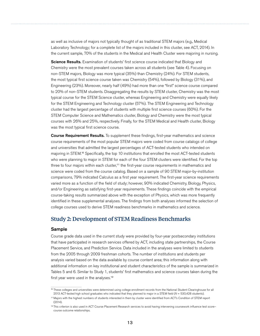<span id="page-16-0"></span>as well as inclusive of majors not typically thought of as traditional STEM majors (e.g., Medical Laboratory Technology; for a complete list of the majors included in this cluster, see ACT, 2014). In the current sample, 70% of the students in the Medical and Health Cluster were majoring in nursing.

**Science Results.** Examination of students' first science course indicated that Biology and Chemistry were the most prevalent courses taken across all students (see Table 4). Focusing on non-STEM majors, Biology was more typical (35%) than Chemistry (24%). For STEM students, the most typical first science course taken was Chemistry (54%), followed by Biology (31%), and Engineering (23%). Moreover, nearly half (49%) had more than one "first" science course compared to 20% of non-STEM students. Disaggregating the results by STEM cluster, Chemistry was the most typical course for the STEM Science cluster, whereas Engineering and Chemistry were equally likely for the STEM Engineering and Technology cluster (57%). The STEM Engineering and Technology cluster had the largest percentage of students with multiple first science courses (60%). For the STEM Computer Science and Mathematics cluster, Biology and Chemistry were the most typical courses with 26% and 25%, respectively. Finally, for the STEM Medical and Health cluster, Biology was the most typical first science course.

**Course Requirement Results.** To supplement these findings, first-year mathematics and science course requirements of the most popular STEM majors were coded from course catalogs of college and universities that admitted the largest percentages of ACT-tested students who intended on majoring in STEM.<sup>10</sup> Specifically, the top 10 institutions that enrolled the most ACT-tested students who were planning to major in STEM for each of the four STEM clusters were identified. For the top three to four majors within each cluster,<sup>11</sup> the first-year course requirements in mathematics and science were coded from the course catalog. Based on a sample of 90 STEM major-by-institution comparisons, 79% indicated Calculus as a first year requirement. The first-year science requirements varied more as a function of the field of study; however, 90% indicated Chemistry, Biology, Physics, and/or Engineering as satisfying first-year requirements. These findings coincide with the empirical course-taking results summarized above with the exception of Physics, which was more frequently identified in these supplemental analyses. The findings from both analyses informed the selection of college courses used to derive STEM readiness benchmarks in mathematics and science.

## Study 2: Development of STEM Readiness Benchmarks

#### Sample

Course grade data used in the current study were provided by four-year postsecondary institutions that have participated in research services offered by ACT, including state partnerships, the Course Placement Service, and Prediction Service. Data included in the analyses were limited to students from the 2005 through 2009 freshman cohorts. The number of institutions and students per analysis varied based on the data available by course content area; this information along with additional information on key institutional and student characteristics of the sample is summarized in Tables 5 and 6. Similar to Study 1, students' first mathematics and science courses taken during the first year were used in the analyses.<sup>12</sup>

<sup>10</sup> These colleges and universities were determined using college enrollment records from the National Student Clearinghouse for all 2013 ACT-tested high school graduates who indicated that they planned to major in a STEM field (*N* = 530,428 students).

<sup>11</sup> Majors with the highest numbers of students interested in them by cluster were identified from ACT's Condition of STEM report (2014).

<sup>12</sup> This criterion is also used in ACT Course Placement Research services to avoid having intervening coursework influence test score– course outcome relationships.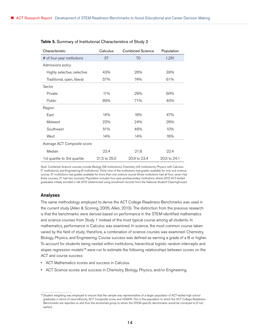| Characteristic               | Calculus     | <b>Combined Science</b> | Population   |
|------------------------------|--------------|-------------------------|--------------|
| # of four-year institutions  | 37           | 70                      | 1,251        |
| Admissions policy            |              |                         |              |
| Highly selective, selective  | 43%          | 26%                     | 39%          |
| Traditional, open, liberal   | 57%          | 74%                     | 61%          |
| Sector                       |              |                         |              |
| Private                      | 11%          | 29%                     | 60%          |
| Public                       | 89%          | 71%                     | 40%          |
| Region                       |              |                         |              |
| East                         | 14%          | 16%                     | 47%          |
| Midwest                      | 22%          | 24%                     | 26%          |
| Southwest                    | 51%          | 46%                     | 10%          |
| West                         | 14%          | 14%                     | 16%          |
| Average ACT Composite score  |              |                         |              |
| Median                       | 22.4         | 21.8                    | 22.4         |
| 1st quartile to 3rd quartile | 21.5 to 25.0 | 20.9 to 23.4            | 20.5 to 24.1 |

#### Table 5. Summary of Institutional Characteristics of Study 2

*Note.* Combined Science courses include Biology (58 institutions), Chemistry (44 institutions), Physics with Calculus (7 institutions), and Engineering (6 institutions). Thirty-nine of the institutions had grades available for only one science course; 31 institutions had grades available for more than one science course (three institutions had all four; seven had three courses; 21 had two courses). Population includes four-year postsecondary institutions where 2012 ACT-tested graduates initially enrolled in fall 2012 (determined using enrollment records from the National Student Clearinghouse).

#### Analyses

The same methodology employed to derive the ACT College Readiness Benchmarks was used in the current study (Allen & Sconing, 2005; Allen, 2013). The distinction from the previous research is that the benchmarks were derived based on performance in the STEM-identified mathematics and science courses from Study 1 instead of the most typical course among all students. In mathematics, performance in Calculus was examined. In science, the most common course taken varied by the field of study; therefore, a combination of science courses was examined: Chemistry, Biology, Physics, and Engineering. Course success was defined as earning a grade of a B or higher. To account for students being nested within institutions, hierarchical logistic random intercepts and slopes regression models<sup>13</sup> were run to estimate the following relationships between scores on the ACT and course success:

- ACT Mathematics scores and success in Calculus.
- ACT Science scores and success in Chemistry, Biology, Physics, and/or Engineering.

<sup>&</sup>lt;sup>13</sup> Student weighting was employed to ensure that the sample was representative of a larger population of ACT-tested high school graduates in terms of race/ethnicity, ACT Composite score, and HSGPA. This is the population to which the ACT College Readiness Benchmarks are reported on and thus the envisioned group to whom the STEM-specific benchmarks would be conveyed to (if not earlier).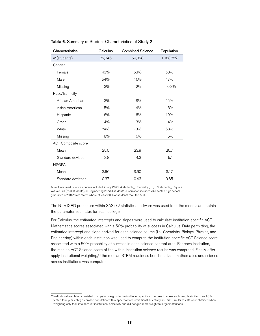| Characteristics            | Calculus | <b>Combined Science</b> | Population |
|----------------------------|----------|-------------------------|------------|
| N (students)               | 22,246   | 69,328                  | 1,168,752  |
| Gender                     |          |                         |            |
| Female                     | 43%      | 53%                     | 53%        |
| Male                       | 54%      | 46%                     | 47%        |
| Missing                    | 3%       | 2%                      | 0.3%       |
| Race/Ethnicity             |          |                         |            |
| African American           | 3%       | 8%                      | 15%        |
| Asian American             | 5%       | 4%                      | 3%         |
| Hispanic                   | 6%       | 6%                      | 10%        |
| Other                      | 4%       | 3%                      | 4%         |
| White                      | 74%      | 73%                     | 63%        |
| Missing                    | 8%       | 6%                      | 5%         |
| <b>ACT Composite score</b> |          |                         |            |
| Mean                       | 25.5     | 23.9                    | 20.7       |
| Standard deviation         | 3.8      | 4.3                     | 5.1        |
| <b>HSGPA</b>               |          |                         |            |
| Mean                       | 3.66     | 3.60                    | 3.17       |
| Standard deviation         | 0.37     | 0.43                    | 0.65       |

#### Table 6. Summary of Student Characteristics of Study 2

*Note.* Combined Science courses include Biology (29,784 students), Chemistry (36,382 students), Physics w/Calculus (629 students), or Engineering (2,533 students). Population includes ACT-tested high school graduates of 2012 from states where at least 50% of students took the ACT.

The NLMIXED procedure within SAS 9.2 statistical software was used to fit the models and obtain the parameter estimates for each college.

For Calculus, the estimated intercepts and slopes were used to calculate institution-specific ACT Mathematics scores associated with a 50% probability of success in Calculus. Data permitting, the estimated intercept and slope derived for each science course (i.e., Chemistry, Biology, Physics, and Engineering) within each institution was used to compute the institution-specific ACT Science score associated with a 50% probability of success in each science content area. For each institution, the median ACT Science score of the within-institution science results was computed. Finally, after apply institutional weighting,<sup>14</sup> the median STEM readiness benchmarks in mathematics and science across institutions was computed.

<sup>14</sup> Institutional weighting consisted of applying weights to the institution specific cut scores to make each sample similar to an ACTtested four-year-college-enrollee population with respect to both institutional selectivity and size. Similar results were obtained when weighting only took into account institutional selectivity and did not give more weight to larger institutions.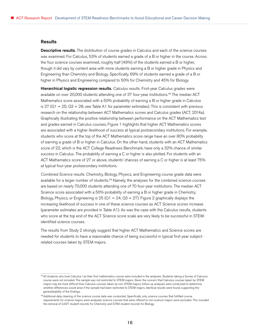#### **Results**

Descriptive results. The distribution of course grades in Calculus and each of the science courses was examined. For Calculus, 53% of students earned a grade of a B or higher in the course. Across the four science courses examined, roughly half (49%) of the students earned a B or higher, though it did vary by content area with more students earning a B or higher grade in Physics and Engineering than Chemistry and Biology. Specifically, 69% of students earned a grade of a B or higher in Physics and Engineering compared to 50% for Chemistry and 45% for Biology.

Hierarchical logistic regression results. *Calculus results.* First-year Calculus grades were available on over 20,000 students attending one of 37 four-year institutions.<sup>15</sup> The median ACT Mathematics score associated with a 50% probability of earning a B or higher grade in Calculus is 27 ( $Q1 = 25$ ;  $Q3 = 28$ ; see Table A1 for parameter estimates). This is consistent with previous research on the relationship between ACT Mathematics scores and Calculus grades (ACT, 2014a). Graphically illustrating the positive relationship between performance on the ACT Mathematics test and grades earned in Calculus courses, Figure 1 highlights that higher ACT Mathematics scores are associated with a higher likelihood of success at typical postsecondary institutions. For example, students who score at the top of the ACT Mathematics score range have an over 80% probability of earning a grade of B or higher in Calculus. On the other hand, students with an ACT Mathematics score of 22, which is the ACT College Readiness Benchmark, have only a 32% chance of similar success in Calculus. The probability of earning a C or higher is also plotted. For students with an ACT Mathematics score of 27 or above, students' chances of earning a C or higher is at least 75% at typical four-year postsecondary institutions.

*Combined Science results.* Chemistry, Biology, Physics, and Engineering course grade data were available for a larger number of students.<sup>16</sup> Namely, the analyses for the combined science courses are based on nearly 70,000 students attending one of 70 four-year institutions. The median ACT Science score associated with a 50% probability of earning a B or higher grade in Chemistry, Biology, Physics, or Engineering is  $25 (Q1 = 24; Q3 = 27)$ . Figure 2 graphically displays the increasing likelihood of success in one of these science courses as ACT Science scores increase (parameter estimates are provided in Table A1). As was the case with the Calculus results, students who score at the top end of the ACT Science score scale are very likely to be successful in STEMidentified science courses.

The results from Study 2 strongly suggest that higher ACT Mathematics and Science scores are needed for students to have a reasonable chance of being successful in typical first-year subjectrelated courses taken by STEM majors.

<sup>&</sup>lt;sup>15</sup> All students who took Calculus I as their first mathematics course were included in the analyses. Students taking a Survey of Calculus course were not included. The sample was not restricted to STEM majors. Given the concern that Calculus courses taken by STEM majors may be more difficult than Calculus courses taken by non-STEM majors, follow-up analyses were conducted to determine whether differences would arise if the sample had been restricted to STEM majors. Identical results were found, supporting the generalizability of the findings.

<sup>&</sup>lt;sup>16</sup> Additional data cleaning of the science course data was conducted. Specifically, only science courses that fulfilled course requirements for science majors were analyzed; science courses that were offered to non-science majors were excluded. This included the removal of 2,427 student records for Chemistry and 9,784 student records for Biology.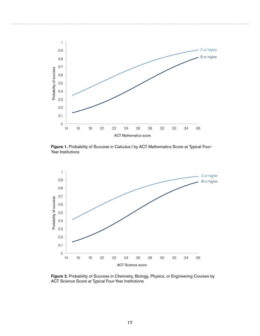

Figure 1. Probability of Success in Calculus I by ACT Mathematics Score at Typical Four-Year Institutions



Figure 2. Probability of Success in Chemistry, Biology, Physics, or Engineering Courses by ACT Science Score at Typical Four-Year Institutions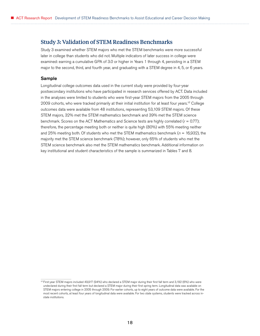### <span id="page-21-0"></span>Study 3: Validation of STEM Readiness Benchmarks

Study 3 examined whether STEM majors who met the STEM benchmarks were more successful later in college than students who did not. Multiple indicators of later success in college were examined: earning a cumulative GPA of 3.0 or higher in Years 1 through 4, persisting in a STEM major to the second, third, and fourth year, and graduating with a STEM degree in 4, 5, or 6 years.

#### Sample

Longitudinal college outcomes data used in the current study were provided by four-year postsecondary institutions who have participated in research services offered by ACT. Data included in the analyses were limited to students who were first-year STEM majors from the 2005 through 2009 cohorts, who were tracked primarily at their initial institution for at least four years.<sup>17</sup> College outcomes data were available from 48 institutions, representing 53,109 STEM majors. Of these STEM majors, 32% met the STEM mathematics benchmark and 39% met the STEM science benchmark. Scores on the ACT Mathematics and Science tests are highly correlated (*r* = 0.77); therefore, the percentage meeting both or neither is quite high (80%) with 55% meeting neither and 25% meeting both. Of students who met the STEM mathematics benchmark (*n* = 16,932), the majority met the STEM science benchmark (78%); however, only 65% of students who met the STEM science benchmark also met the STEM mathematics benchmark. Additional information on key institutional and student characteristics of the sample is summarized in Tables 7 and 8.

<sup>17</sup> First-year STEM majors included 49,917 (94%) who declared a STEM major during their first fall term and 3,192 (6%) who were undeclared during their first fall term but declared a STEM major during their first spring term. Longitudinal data was available on STEM majors entering college in 2005 through 2009. For earlier cohorts, up to eight years of outcome data were available. For the most recent cohorts, at least four years of longitudinal data were available. For two state systems, students were tracked across instate institutions.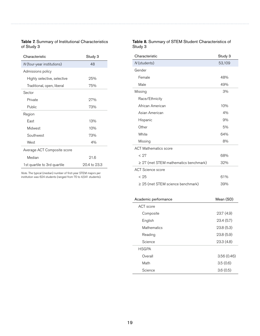### Table 7. Summary of Institutional Characteristics of Study 3

| Characteristic               | Study 3      |
|------------------------------|--------------|
| N (four-year institutions)   | 48           |
| Admissions policy            |              |
| Highly selective, selective  | 25%          |
| Traditional, open, liberal   | 75%          |
| Sector                       |              |
| Private                      | 27%          |
| Public                       | 73%          |
| Region                       |              |
| Fast                         | 13%          |
| Midwest                      | 10%          |
| Southwest                    | 73%          |
| West                         | 4%           |
| Average ACT Composite score  |              |
| Median                       | 91.6         |
| 1st quartile to 3rd quartile | 20.4 to 23.3 |

*Note.* The typical (median) number of first-year STEM majors per institution was 624 students (ranged from 70 to 4,541 students).

### Table 8. Summary of STEM Student Characteristics of Study 3

| Characteristic                             | Study 3 |
|--------------------------------------------|---------|
| N (students)                               | 53,109  |
| Gender                                     |         |
| Female                                     | 48%     |
| Male                                       | 49%     |
| Missing                                    | 3%      |
| Race/Ethnicity                             |         |
| African American                           | 10%     |
| Asian American                             | 4%      |
| Hispanic                                   | 9%      |
| Other                                      | 5%      |
| White                                      | 64%     |
| Missing                                    | 8%      |
| <b>ACT Mathematics score</b>               |         |
| < 27                                       | 68%     |
| $\geq$ 27 (met STEM mathematics benchmark) | 32%     |
| <b>ACT Science score</b>                   |         |
| < 25                                       | 61%     |
| $\geq$ 25 (met STEM science benchmark)     | 39%     |
|                                            |         |

| Academic performance | Mean (SD)  |
|----------------------|------------|
| ACT score            |            |
| Composite            | 23.7 (4.9) |
| English              | 23.4(5.7)  |
| Mathematics          | 23.8(5.3)  |
| Reading              | 23.8(5.9)  |
| Science              | 23.3(4.8)  |
| <b>HSGPA</b>         |            |
| Overall              | 3.56(0.46) |
| Math                 | 3.5(0.6)   |
| Science              | 3.6(0.5)   |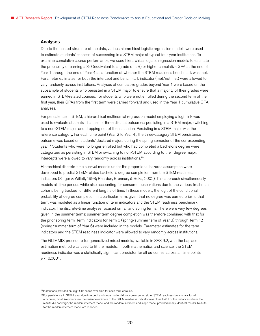#### Analyses

Due to the nested structure of the data, various hierarchical logistic regression models were used to estimate students' chances of succeeding in a STEM major at typical four-year institutions. To examine cumulative course performance, we used hierarchical logistic regression models to estimate the probability of earning a 3.0 (equivalent to a grade of a B) or higher cumulative GPA at the end of Year 1 through the end of Year 4 as a function of whether the STEM readiness benchmark was met. Parameter estimates for both the intercept and benchmark indicator (met/not met) were allowed to vary randomly across institutions. Analyses of cumulative grades beyond Year 1 were based on the subsample of students who persisted in a STEM major to ensure that a majority of their grades were earned in STEM-related courses. For students who were not enrolled during the second term of their first year, their GPAs from the first term were carried forward and used in the Year 1 cumulative GPA analyses.

For persistence in STEM, a hierarchical multinomial regression model employing a logit link was used to evaluate students' chances of three distinct outcomes: persisting in a STEM major, switching to a non-STEM major, and dropping out of the institution. Persisting in a STEM major was the reference category. For each time point (Year 2 to Year 4), the three-category STEM persistence outcome was based on students' declared majors during the spring semester of the corresponding year.<sup>18</sup> Students who were no longer enrolled but who had completed a bachelor's degree were categorized as persisting in STEM or switching to non-STEM according to their degree major. Intercepts were allowed to vary randomly across institutions.<sup>19</sup>

Hierarchical discrete-time survival models under the proportional hazards assumption were developed to predict STEM-related bachelor's degree completion from the STEM readiness indicators (Singer & Willett, 1993; Reardon, Brennan, & Buka, 2002). This approach simultaneously models all time periods while also accounting for censored observations due to the various freshman cohorts being tracked for different lengths of time. In these models, the logit of the conditional probability of degree completion in a particular term, given that no degree was earned prior to that term, was modeled as a linear function of term indicators and the STEM readiness benchmark indicator. The discrete-time analyses focused on fall and spring terms. There were very few degrees given in the summer terms; summer term degree completion was therefore combined with that for the prior spring term. Term indicators for Term 6 (spring/summer term of Year 3) through Term 12 (spring/summer term of Year 6) were included in the models. Parameter estimates for the term indicators and the STEM readiness indicator were allowed to vary randomly across institutions.

The GLIMMIX procedure for generalized mixed models, available in SAS 9.2, with the Laplace estimation method was used to fit the models. In both mathematics and science, the STEM readiness indicator was a statistically significant predictor for all outcomes across all time points, *p* < 0.0001.

<sup>&</sup>lt;sup>18</sup> Institutions provided six-digit CIP codes over time for each term enrolled.

<sup>19</sup> For persistence in STEM, a random intercept and slope model did not converge for either STEM readiness benchmark for all outcomes, most likely because the variance estimate of the STEM readiness indicator was close to 0. For the instances where the results did converge, the random intercept model and the random intercept and slope model provided nearly identical results. Results for the random intercept model are reported.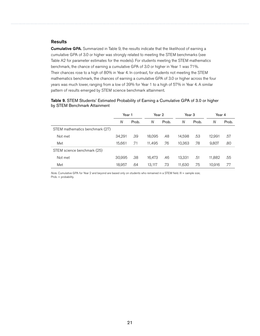#### **Results**

**Cumulative GPA.** Summarized in Table 9, the results indicate that the likelihood of earning a cumulative GPA of 3.0 or higher was strongly related to meeting the STEM benchmarks (see Table A2 for parameter estimates for the models). For students meeting the STEM mathematics benchmark, the chance of earning a cumulative GPA of 3.0 or higher in Year 1 was 71%. Their chances rose to a high of 80% in Year 4. In contrast, for students not meeting the STEM mathematics benchmark, the chances of earning a cumulative GPA of 3.0 or higher across the four years was much lower, ranging from a low of 39% for Year 1 to a high of 57% in Year 4. A similar pattern of results emerged by STEM science benchmark attainment.

| Table 9. STEM Students' Estimated Probability of Earning a Cumulative GPA of 3.0 or higher |  |
|--------------------------------------------------------------------------------------------|--|
| by STEM Benchmark Attainment                                                               |  |

|                                 | Year 1 |       | Year 2 |       | Year 3 |       | Year 4 |       |
|---------------------------------|--------|-------|--------|-------|--------|-------|--------|-------|
|                                 | N      | Prob. | N      | Prob. | N      | Prob. | N      | Prob. |
| STEM mathematics benchmark (27) |        |       |        |       |        |       |        |       |
| Not met                         | 34,291 | .39   | 18.095 | .48   | 14.598 | .53   | 12,991 | .57   |
| Met                             | 15,661 | .71   | 11.495 | .76   | 10.363 | .78   | 9.807  | .80   |
| STEM science benchmark (25)     |        |       |        |       |        |       |        |       |
| Not met                         | 30,995 | .38   | 16,473 | .46   | 13,331 | .51   | 11,882 | .55   |
| Met                             | 18,957 | .64   | 13,117 | .73   | 11,630 | .75   | 10,916 | .77   |

*Note.* Cumulative GPA for Year 2 and beyond are based only on students who remained in a STEM field. *N* = sample size; Prob. = probability.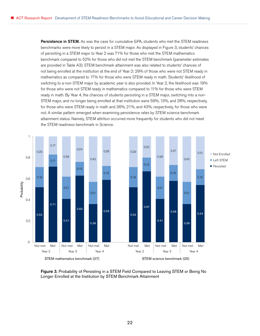Persistence in STEM. As was the case for cumulative GPA, students who met the STEM readiness benchmarks were more likely to persist in a STEM major. As displayed in Figure 3, students' chances of persisting in a STEM major to Year 2 was 71% for those who met the STEM mathematics benchmark compared to 52% for those who did not met the STEM benchmark (parameter estimates are provided in Table A3). STEM benchmark attainment was also related to students' chances of not being enrolled at the institution at the end of Year 2: 29% of those who were not STEM ready in mathematics as compared to 17% for those who were STEM ready in math. Students' likelihood of switching to a non-STEM major by academic year is also provided. In Year 2, the likelihood was 19% for those who were not STEM ready in mathematics compared to 11% for those who were STEM ready in math. By Year 4, the chances of students persisting in a STEM major, switching into a non-STEM major, and no longer being enrolled at that institution were 59%, 13%, and 28%, respectively, for those who were STEM ready in math and 36%, 21%, and 43%, respectively, for those who were not. A similar pattern emerged when examining persistence rates by STEM science benchmark attainment status. Namely, STEM attrition occurred more frequently for students who did not meet the STEM readiness benchmark in Science.



Figure 3. Probability of Persisting in a STEM Field Compared to Leaving STEM or Being No Longer Enrolled at the Institution by STEM Benchmark Attainment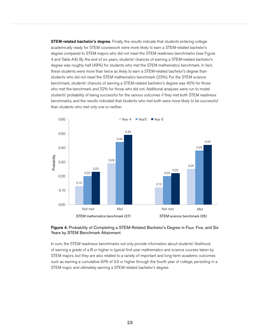**STEM-related bachelor's degree.** Finally, the results indicate that students entering college academically ready for STEM coursework were more likely to earn a STEM-related bachelor's degree compared to STEM majors who did not meet the STEM readiness benchmarks (see Figure 4 and Table A4). By the end of six years, students' chances of earning a STEM-related bachelor's degree was roughly half (49%) for students who met the STEM mathematics benchmark. In fact, these students were more than twice as likely to earn a STEM-related bachelor's degree than students who did not meet the STEM mathematics benchmark (23%). For the STEM science benchmark, students' chances of earning a STEM-related bachelor's degree was 42% for those who met the benchmark and 22% for those who did not. Additional analyses were run to model students' probability of being successful for the various outcomes if they met both STEM readiness benchmarks, and the results indicated that students who met both were more likely to be successful than students who met only one or neither.



#### Figure 4. Probability of Completing a STEM-Related Bachelor's Degree in Four, Five, and Six Years by STEM Benchmark Attainment

In sum, the STEM readiness benchmarks not only provide information about students' likelihood of earning a grade of a B or higher in typical first-year mathematics and science courses taken by STEM majors, but they are also related to a variety of important and long-term academic outcomes such as earning a cumulative GPA of 3.0 or higher through the fourth year of college, persisting in a STEM major, and ultimately earning a STEM-related bachelor's degree.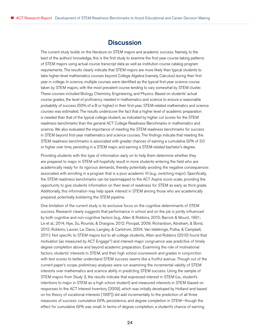## **Discussion**

<span id="page-27-0"></span>The current study builds on the literature on STEM majors and academic success. Namely, to the best of the authors' knowledge, this is the first study to examine the first-year course-taking patterns of STEM majors using actual course transcript data as well as institution course catalog program requirements. The results clearly indicate that STEM majors are more likely than typical students to take higher-level mathematics courses beyond College Algebra (namely, Calculus) during their first year in college. In science, multiple courses were identified as the typical first-year science course taken by STEM majors, with the most prevalent course tending to vary somewhat by STEM cluster. These courses included Biology, Chemistry, Engineering, and Physics. Based on students' actual course grades, the level of proficiency needed in mathematics and science to ensure a reasonable probability of success (50% of a B or higher) in their first-year, STEM-related mathematics and science courses was estimated. The results underscore the fact that a higher level of academic preparation is needed than that of the typical college student, as indicated by higher cut scores for the STEM readiness benchmarks than the general ACT College Readiness Benchmarks in mathematics and science. We also evaluated the importance of meeting the STEM readiness benchmarks for success in STEM beyond first-year mathematics and science courses. The findings indicate that meeting the STEM readiness benchmarks is associated with greater chances of earning a cumulative GPA of 3.0 or higher over time, persisting in a STEM major, and earning a STEM-related bachelor's degree.

Providing students with this type of information early on to help them determine whether they are prepared to major in STEM will hopefully result in more students entering the field who are academically ready for its rigorous demands, thereby potentially avoiding the negative consequences associated with enrolling in a program that is a poor academic fit (e.g., switching major). Specifically, the STEM readiness benchmarks can be backmapped to the ACT Aspire score scale, providing the opportunity to give students information on their level of readiness for STEM as early as third grade. Additionally, this information may help spark interest in STEM among those who are academically prepared, potentially bolstering the STEM pipeline.

One limitation of the current study is its exclusive focus on the cognitive determinants of STEM success. Research clearly suggests that performance in school and on the job is jointly influenced by both cognitive and non-cognitive factors (e.g., Allen & Robbins, 2010; Barrick & Mount, 1991; Le et al., 2014; Nye, Su, Rounds, & Drasgow, 2012; Poropat, 2009; Richardson, Abraham, & Bond, 2012; Robbins, Lauver, Le, Davis, Langley, & Carlstrom, 2004; Van Iddekinge, Putka, & Campbell, 2011). Not specific to STEM majors but to all college students, Allen and Robbins (2010) found that motivation (as measured by ACT Engage®) and interest-major congruence was predictive of timely degree completion above and beyond academic preparation. Examining the role of motivational factors, students' interests in STEM, and their high school coursework and grades in conjunction with test scores to better understand STEM success seems like a fruitful avenue. Though out of the current paper's scope, preliminary analyses were run examining the incremental validity of STEM interests over mathematics and science ability in predicting STEM success. Using the sample of STEM majors from Study 3, the results indicate that expressed interest in STEM (i.e., student's intentions to major in STEM as a high school student) and measured interests in STEM (based on responses to the ACT Interest Inventory [2009], which was initially developed by Holland and based on his theory of vocational interests [1997]) did add incrementally to the prediction of all three measures of success: cumulative GPA, persistence, and degree completion in STEM—though the effect for cumulative GPA was small. In terms of degree completion, a student's chance of earning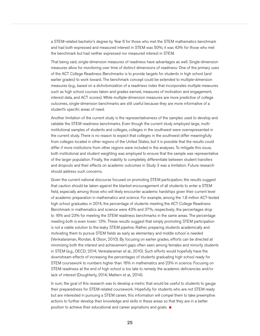a STEM-related bachelor's degree by Year 6 for those who met the STEM mathematics benchmark and had both expressed and measured interest in STEM was 50%; it was 43% for those who met the benchmark but had neither expressed nor measured interest in STEM.

That being said, single-dimension measures of readiness have advantages as well. Single-dimension measures allow for monitoring over time of distinct dimensions of readiness. One of the primary uses of the ACT College Readiness Benchmarks is to provide targets for students in high school (and earlier grades) to work toward. The benchmark concept could be extended to multiple-dimension measures (e.g., based on a dichotomization of a readiness index that incorporates multiple measures such as high school courses taken and grades earned, measures of motivation and engagement, interest data, and ACT scores). While multiple-dimension measures are more predictive of college outcomes, single-dimension benchmarks are still useful because they are more informative of a student's specific areas of need.

Another limitation of the current study is the representativeness of the samples used to develop and validate the STEM readiness benchmarks. Even though the current study employed large, multiinstitutional samples of students and colleges, colleges in the southwest were overrepresented in the current study. There is no reason to expect that colleges in the southwest differ meaningfully from colleges located in other regions of the United States, but it is possible that the results could differ if more institutions from other regions were included in the analyses. To mitigate this issue, both institutional and student weighting was employed to ensure that the sample was representative of the larger population. Finally, the inability to completely differentiate between student transfers and dropouts and their effects on academic outcomes in Study 3 was a limitation. Future research should address such concerns.

Given the current national discourse focused on promoting STEM participation, the results suggest that caution should be taken against the blanket encouragement of all students to enter a STEM field, especially among those who will likely encounter academic hardships given their current level of academic preparation in mathematics and science. For example, among the 1.8 million ACT-tested high school graduates in 2014, the percentage of students meeting the ACT College Readiness Benchmark in mathematics and science were 43% and 37%, respectively; the percentages drop to 16% and 23% for meeting the STEM readiness benchmarks in the same areas. The percentage meeting both is even lower: 13%. These results suggest that simply promoting STEM participation is not a viable solution to the leaky STEM pipeline. Rather, preparing students academically and motivating them to pursue STEM fields as early as elementary and middle school is needed (Venkataraman, Riordan, & Olson, 2010). By focusing on earlier grades, efforts can be directed at minimizing both the interest and achievement gaps often seen among females and minority students in STEM (e.g., OECD, 2014; Venkataraman et al., 2010). Such efforts would hopefully have the downstream effects of increasing the percentages of students graduating high school ready for STEM coursework to numbers higher than 16% in mathematics and 23% in science. Focusing on STEM readiness at the end of high school is too late to remedy the academic deficiencies and/or lack of interest (Doughterty, 2014; Mattern et al., 2014).

In sum, the goal of this research was to develop a metric that would be useful to students to gauge their preparedness for STEM-related coursework. Hopefully, for students who are not STEM ready but are interested in pursuing a STEM career, this information will compel them to take preemptive actions to further develop their knowledge and skills in these areas so that they are in a better position to achieve their educational and career aspirations and goals.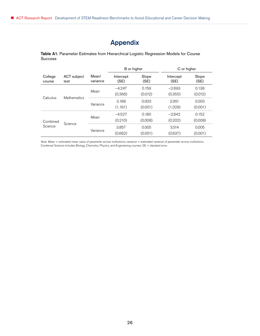# Appendix

<span id="page-29-0"></span>Table A1. Parameter Estimates from Hierarchical Logistic Regression Models for Course **Success** 

|                     |                     |                   | B or higher       |               | C or higher       |               |
|---------------------|---------------------|-------------------|-------------------|---------------|-------------------|---------------|
| College<br>course   | ACT subject<br>test | Mean/<br>variance | Intercept<br>(SE) | Slope<br>(SE) | Intercept<br>(SE) | Slope<br>(SE) |
|                     | Mathematics         | Mean              | $-4.247$          | 0.159         | $-2.693$          | 0.138         |
| Calculus            |                     |                   | (0.366)           | (0.012)       | (0.355)           | (0.012)       |
|                     |                     | Variance          | 3.188             | 0.003         | 2.951             | 0.003         |
|                     |                     |                   | (1.191)           | (0.001)       | (1.029)           | (0.001)       |
| Combined<br>Science | Science             | Mean              | $-4.527$          | 0.180         | $-2.642$          | 0.152         |
|                     |                     |                   | (0.210)           | (0.008)       | (0.202)           | (0.008)       |
|                     |                     | Variance          | 3.857             | 0.005         | 3.514             | 0.005         |
|                     |                     |                   | (0.662)           | (0.001)       | (0.637)           | (0.001)       |

*Note.* Mean = estimated mean value of parameter across institutions; variance = estimated variance of parameter across institutions. Combined Science includes Biology, Chemistry, Physics, and Engineering courses. SE = standard error.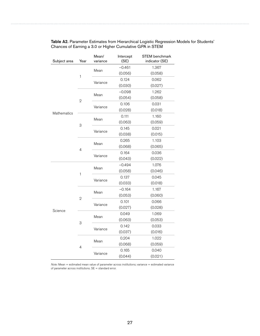| Subject area       | Mean/<br>Intercept<br>(SE)<br>Year<br>variance |          | <b>STEM</b> benchmark<br>indicator (SE) |         |
|--------------------|------------------------------------------------|----------|-----------------------------------------|---------|
|                    |                                                |          | $-0.461$                                | 1.367   |
|                    |                                                | Mean     | (0.056)                                 | (0.058) |
|                    | $\mathbf{1}$                                   |          | 0.124                                   | 0.062   |
|                    |                                                | Variance | (0.030)                                 | (0.027) |
|                    | $\overline{2}$                                 |          | $-0.098$                                | 1.262   |
|                    |                                                | Mean     | (0.054)                                 | (0.058) |
|                    |                                                |          | 0.106                                   | 0.031   |
| <b>Mathematics</b> |                                                | Variance | (0.028)                                 | (0.018) |
|                    | 3                                              | Mean     | 0.111                                   | 1.160   |
|                    |                                                |          | (0.063)                                 | (0.059) |
|                    |                                                | Variance | 0.145                                   | 0.021   |
|                    |                                                |          | (0.038)                                 | (0.015) |
|                    | 4<br>$\mathbf{1}$                              | Mean     | 0.265                                   | 1.103   |
|                    |                                                |          | (0.068)                                 | (0.065) |
|                    |                                                | Variance | 0.164                                   | 0.036   |
|                    |                                                |          | (0.043)                                 | (0.022) |
|                    |                                                | Mean     | $-0.494$                                | 1.076   |
|                    |                                                |          | (0.058)                                 | (0.046) |
|                    |                                                | Variance | 0.137                                   | 0.045   |
|                    |                                                |          | (0.033)                                 | (0.018) |
|                    |                                                | Mean     | $-0.164$                                | 1.167   |
|                    | $\overline{2}$                                 |          | (0.053)                                 | (0.060) |
|                    |                                                | Variance | 0.101                                   | 0.066   |
| Science            |                                                |          | (0.027)                                 | (0.028) |
|                    | 3                                              | Mean     | 0.049                                   | 1.069   |
|                    |                                                |          | (0.063)                                 | (0.053) |
|                    |                                                | Variance | 0.142                                   | 0.033   |
|                    |                                                |          | (0.037)                                 | (0.016) |
|                    |                                                | Mean     | 0.204                                   | 1.022   |
|                    | 4                                              |          | (0.068)                                 | (0.059) |
|                    |                                                | Variance | 0.165                                   | 0.040   |
|                    |                                                |          | (0.044)                                 | (0.021) |

Table A2. Parameter Estimates from Hierarchical Logistic Regression Models for Students' Chances of Earning a 3.0 or Higher Cumulative GPA in STEM

*Note:* Mean = estimated mean value of parameter across institutions; variance = estimated variance of parameter across institutions. SE = standard error.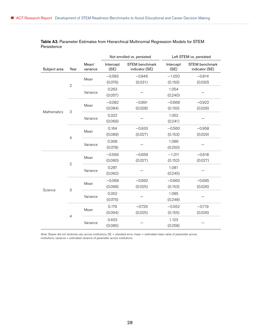|              |                |                   | Not enrolled vs. persisted |                                         | Left STEM vs. persisted |                                         |
|--------------|----------------|-------------------|----------------------------|-----------------------------------------|-------------------------|-----------------------------------------|
| Subject area | Year           | Mean/<br>variance | Intercept<br>(SE)          | <b>STEM</b> benchmark<br>indicator (SE) | Intercept<br>(SE)       | <b>STEM</b> benchmark<br>indicator (SE) |
| Mathematics  |                |                   | $-0.583$                   | $-0.846$                                | $-1.020$                | $-0.814$                                |
|              | $\overline{2}$ | Mean              | (0.076)                    | (0.031)                                 | (0.150)                 | (0.030)                                 |
|              |                |                   | 0.263                      |                                         | 1.054                   |                                         |
|              |                | Variance          | (0.057)                    |                                         | (0.240)                 |                                         |
|              | 3              |                   | $-0.082$                   | $-0.891$                                | $-0.668$                | $-0.922$                                |
|              |                | Mean              | (0.084)                    | (0.028)                                 | (0.150)                 | (0.029)                                 |
|              |                | Variance          | 0.322                      |                                         | 1.052                   |                                         |
|              |                |                   | (0.069)                    |                                         | (0.241)                 |                                         |
|              | $\overline{4}$ | Mean              | 0.164                      | $-0.933$                                | $-0.560$                | $-0.958$                                |
|              |                |                   | (0.089)                    | (0.027)                                 | (0.153)                 | (0.029)                                 |
|              |                | Variance          | 0.368                      |                                         | 1.086                   |                                         |
|              |                |                   | (0.078)                    |                                         | (0.250)                 |                                         |
| Science      | $\overline{2}$ | Mean              | $-0.569$                   | $-0.658$                                | $-1.011$                | $-0.618$                                |
|              |                |                   | (0.080)                    | (0.027)                                 | (0.152)                 | (0.027)                                 |
|              |                | Variance          | 0.287                      |                                         | 1.081                   |                                         |
|              |                |                   | (0.062)                    |                                         | (0.245)                 |                                         |
|              | 3              | Mean              | $-0.068$                   | $-0.692$                                | $-0.660$                | $-0.695$                                |
|              |                |                   | (0.088)                    | (0.025)                                 | (0.153)                 | (0.026)                                 |
|              |                | Variance          | 0.352                      |                                         | 1.085                   |                                         |
|              |                |                   | (0.075)                    |                                         | (0.248)                 |                                         |
|              | $\overline{4}$ | Mean              | 0.179                      | $-0.729$                                | $-0.552$                | $-0.719$                                |
|              |                |                   | (0.094)                    | (0.025)                                 | (0.155)                 | (0.026)                                 |
|              |                | Variance          | 0.403                      |                                         | 1.123                   |                                         |
|              |                |                   | (0.085)                    |                                         | (0.258)                 |                                         |

Table A3. Parameter Estimates from Hierarchical Multinomial Regression Models for STEM Persistence

*Note:* Slopes did not randomly vary across institutions; SE = standard error; mean = estimated mean value of parameter across institutions; variance = estimated variance of parameter across institutions.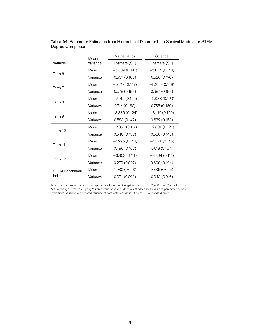|                       | Mean/    | <b>Mathematics</b> | Science         |  |
|-----------------------|----------|--------------------|-----------------|--|
| Variable              | variance | Estimate (SE)      | Estimate (SE)   |  |
| Term 6                | Mean     | $-5.639(0.141)$    | $-5.644(0.143)$ |  |
|                       | Variance | 0.507(0.166)       | 0.526(0.170)    |  |
| Term 7                | Mean     | $-5.217(0.147)$    | $-5.225(0.148)$ |  |
|                       | Variance | 0.678(0.198)       | 0.687(0.198)    |  |
| Term 8                | Mean     | $-2.015(0.125)$    | $-2.038(0.129)$ |  |
|                       | Variance | 0.714(0.160)       | 0.755(0.169)    |  |
| Term 9                | Mean     | $-3.386(0.124)$    | -3.412 (0.129)  |  |
|                       | Variance | 0.583(0.147)       | 0.632(0.158)    |  |
| Term 10               | Mean     | $-2.859(0.117)$    | $-2.891(0.121)$ |  |
|                       | Variance | 0.540(0.132)       | 0.586(0.142)    |  |
| Term 11               | Mean     | $-4.295(0.143)$    | $-4.321(0.145)$ |  |
|                       | Variance | 0.496(0.162)       | 0.518(0.167)    |  |
| Term 12               | Mean     | $-3.863(0.111)$    | $-3.894(0.114)$ |  |
|                       | Variance | 0.279(0.097)       | 0.306(0.104)    |  |
| <b>STEM Benchmark</b> | Mean     | 1.030 (0.053)      | 0.836(0.045)    |  |
| Indicator             | Variance | 0.071(0.023)       | 0.048(0.016)    |  |

| <b>Table A4.</b> Parameter Estimates from Hierarchical Discrete-Time Survival Models for STEM |
|-----------------------------------------------------------------------------------------------|
| Degree Completion                                                                             |

*Note:* The term variables can be interpreted as Term 6 = Spring/Summer term of Year 3, Term 7 = Fall term of Year 4 through Term 12 = Spring/summer term of Year 6. Mean = estimated mean value of parameter across institutions; variance = estimated variance of parameter across institutions. SE = standard error.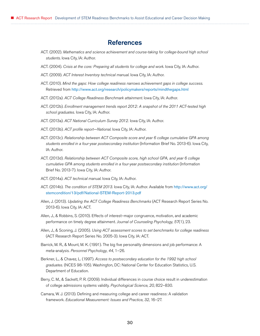## **References**

- <span id="page-33-0"></span>ACT. (2002). *Mathematics and science achievement and course-taking for college-bound high school students*. Iowa City, IA: Author.
- ACT. (2004). *Crisis at the core: Preparing all students for college and work*. Iowa City, IA: Author.
- ACT. (2009). *ACT Interest Inventory technical manual*. Iowa City, IA: Author.
- ACT. (2010). *Mind the gaps: How college readiness narrows achievement gaps in college success*. Retrieved from <http://www.act.org/research/policymakers/reports/mindthegaps.html>
- ACT. (2012a). *ACT College Readiness Benchmark attainment*. Iowa City, IA: Author.
- ACT. (2012b). *Enrollment management trends report 2012: A snapshot of the 2011 ACT-tested high school graduates.* Iowa City, IA: Author.
- ACT. (2013a). *ACT National Curriculum Survey 2012.* Iowa City, IA: Author.
- ACT. (2013b). *ACT profile report—National*. Iowa City, IA: Author.
- ACT. (2013c). *Relationship between ACT Composite score and year 6 college cumulative GPA among students enrolled in a four-year postsecondary institution* (Information Brief No. 2013-6)*.* Iowa City, IA: Author.
- ACT. (2013d). *Relationship between ACT Composite score, high school GPA, and year 6 college cumulative GPA among students enrolled in a four-year postsecondary institution* (Information Brief No. 2013-7). Iowa City, IA: Author.
- ACT. (2014a). *ACT technical manual*. Iowa City, IA: Author.
- ACT. (2014b). *The condition of STEM 2013.* Iowa City, IA: Author. Available from [http://www.act.org/](http://www.act.org/stemcondition/13/pdf/National-STEM-Report-2013.pdf) [stemcondition/13/pdf/National-STEM-Report-2013.pdf](http://www.act.org/stemcondition/13/pdf/National-STEM-Report-2013.pdf)
- Allen, J. (2013). *Updating the ACT College Readiness Benchmarks* (ACT Research Report Series No. 2013-6). Iowa City, IA: ACT.
- Allen, J., & Robbins, S. (2010). Effects of interest–major congruence, motivation, and academic performance on timely degree attainment. *Journal of Counseling Psychology*, *57*(1), 23.
- Allen, J., & Sconing, J. (2005). *Using ACT assessment scores to set benchmarks for college readiness* (ACT Research Report Series No. 2005-3). Iowa City, IA: ACT.
- Barrick, M. R., & Mount, M. K. (1991). The big five personality dimensions and job performance: A meta-analysis. *Personnel Psychology*, *44*, 1–26.
- Berkner, L., & Chavez, L. (1997). *Access to postsecondary education for the 1992 high school graduates.* (NCES 98-105). Washington, DC: National Center for Education Statistics, U.S. Department of Education.
- Berry, C. M., & Sackett, P. R. (2009). Individual differences in course choice result in underestimation of college admissions systems validity. *Psychological Science*, *20*, 822–830.
- Camara, W. J. (2013). Defining and measuring college and career readiness: A validation framework. *Educational Measurement: Issues and Practice*, *32*, 16–27.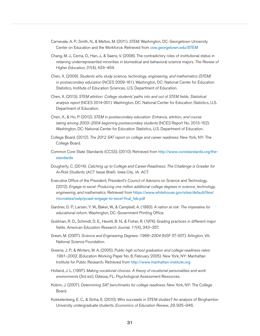- Carnevale, A. P., Smith, N., & Melton, M. (2011). *STEM*. Washington, DC: Georgetown University Center on Education and the Workforce. Retrieved from <cew.georgetown.edu/STEM>
- Chang, M. J., Cerna, O., Han, J., & Saenz, V. (2008). The contradictory roles of institutional status in retaining underrepresented minorities in biomedical and behavioral science majors. *The Review of Higher Education*, *31*(4), 433–464.
- Chen, X. (2009). *Students who study science, technology, engineering, and mathematics (STEM) in postsecondary education* (NCES 2009-161). Washington, DC: National Center for Education Statistics, Institute of Education Sciences, U.S. Department of Education.
- Chen, X. (2013). *STEM attrition: College students' paths into and out of STEM fields. Statistical analysis report* (NCES 2014-001). Washington, DC: National Center for Education Statistics, U.S. Department of Education.
- Chen, X., & Ho, P. (2012). *STEM in postsecondary education: Entrance, attrition, and course taking among 2003–2004 beginning postsecondary students* (NCES Report No. 2013-152). Washington, DC: National Center for Education Statistics, U.S. Department of Education.
- College Board. (2012). *The 2012 SAT report on college and career readiness*. New York, NY: The College Board.
- Common Core State Standards (CCSS). (2010). Retrieved from [http://www.corestandards.org/the](http://www.corestandards.org/the-standards)[standards](http://www.corestandards.org/the-standards)
- Dougherty, C. (2014). Catching up to *C*ollege and *C*areer *R*eadiness: The *C*hallenge is *G*reater for *At-Ri*sk *S*tudents. (ACT Issue Brief). Iowa City, IA: ACT.
- Executive Office of the President, President's Council of Advisors on Science and Technology. (2012). *Engage to excel: Producing one million additional college degrees in science, technology, engineering, and mathematics.* Retrieved from [https://www.whitehouse.gov/sites/default/files/](https://www.whitehouse.gov/sites/default/files/microsites/ostp/pcast-engage-to-excel-final_feb.pdf) [microsites/ostp/pcast-engage-to-excel-final\\_feb.pdf](https://www.whitehouse.gov/sites/default/files/microsites/ostp/pcast-engage-to-excel-final_feb.pdf)
- Gardner, D. P., Larsen, Y. W., Baker, W., & Campbell, A. (1983). *A nation at risk: The imperative for educational reform.* Washington, DC: Government Printing Office.
- Goldman, R. D., Schmidt, D. E., Hewitt, B. N., & Fisher, R. (1974). Grading practices in different major fields. *American Education Research Journal, 11*(4), 343–357.
- Green, M. (2007). *Science and Engineering Degrees: 1966–2004* (NSF 07-307). Arlington, VA: National Science Foundation.
- Greene, J. P., & Winters, M. A. (2005). *Public high school graduation and college-readiness rates: 1991–2002*. (Education Working Paper No. 8, February 2005). New York, NY: Manhattan Institute for Public Research. Retrieved from <http://www.manhattan-institute.org>
- Holland, J. L. (1997). *Making vocational choices: A theory of vocational personalities and work environments* (3rd ed.). Odessa, FL: Psychological Assessment Resources.
- Kobrin, J. (2007). *Determining SAT benchmarks for college readiness*. New York, NY: The College Board.
- Kokkelenberg, E. C., & Sinha, E. (2010). Who succeeds in STEM studies? An analysis of Binghamton University undergraduate students. *Economics of Education Review*, *29*, 935–946.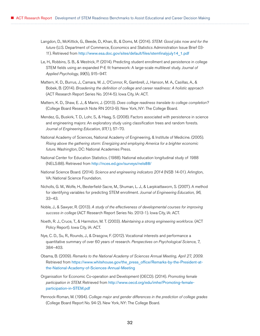- Langdon, D., McKittick, G., Beede, D., Khan, B., & Doms, M. (2014). *STEM: Good jobs now and for the future* (U.S. Department of Commerce, Economics and Statistics Administration Issue Brief 03- 11). Retrieved from [http://www.esa.doc.gov/sites/default/files/stemfinalyjuly14\\_1.pdf](http://www.esa.doc.gov/sites/default/files/stemfinalyjuly14_1.pdf)
- Le, H., Robbins, S. B., & Westrick, P. (2014). Predicting student enrollment and persistence in college STEM fields using an expanded P-E fit framework: A large-scale multilevel study. *Journal of Applied Psychology*, *99*(5), 915–947.
- Mattern, K. D., Burrus, J., Camara, W. J., O'Connor, R., Gambrell, J., Hanson, M. A., Casillas, A., & Bobek, B. (2014). *Broadening the definition of college and career readiness: A holistic approach* (ACT Research Report Series No. 2014-5). Iowa City, IA: ACT.
- Mattern, K. D., Shaw, E. J., & Marini, J. (2013). *Does college readiness translate to college completion?*  (College Board Research Note RN 2013-9). New York, NY: The College Board.
- Mendez, G., Buskirk, T. D., Lohr, S., & Haag, S. (2008). Factors associated with persistence in science and engineering majors: An exploratory study using classification trees and random forests. *Journal of Engineering Education*, *97*(1), 57–70.
- National Academy of Sciences, National Academy of Engineering, & Institute of Medicine. (2005). *Rising above the gathering storm: Energizing and employing America for a brighter economic future*. Washington, DC: National Academies Press.
- National Center for Education Statistics. (1988). National education longitudinal study of 1988 (NELS:88). Retrieved from <http://nces.ed.gov/surveys/nels88/>
- National Science Board. (2014). *Science and engineering indicators 2014* (NSB 14-01). Arlington, VA: National Science Foundation.
- Nicholls, G. M., Wolfe, H., Besterfield-Sacre, M., Shuman, L. J., & Larpkiattaworn, S. (2007). A method for identifying variables for predicting STEM enrollment. *Journal of Engineering Education, 96*, 33–43.
- Noble, J., & Sawyer, R. (2013). *A study of the effectiveness of developmental courses for improving success in college* (ACT Research Report Series No. 2013-1). Iowa City, IA: ACT.
- Noeth, R. J., Cruce, T., & Harmston, M. T. (2003). *Maintaining a strong engineering workforce.* (ACT Policy Report). Iowa City, IA: ACT.
- Nye, C. D., Su, R., Rounds, J., & Drasgow, F. (2012). Vocational interests and performance a quantitative summary of over 60 years of research. *Perspectives on Psychological Science*, *7*, 384–403.
- Obama, B. (2009). *Remarks to the National Academy of Sciences Annual Meeting, April 27, 2009.* Retrieved from [https://www.whitehouse.gov/the\\_press\\_office/Remarks-by-the-President-at](https://www.whitehouse.gov/the_press_office/Remarks-by-the-President-at-the-National-Academy-of-Sciences-Annual-Meeting)[the-National-Academy-of-Sciences-Annual-Meeting](https://www.whitehouse.gov/the_press_office/Remarks-by-the-President-at-the-National-Academy-of-Sciences-Annual-Meeting)
- Organisation for Economic Co-operation and Development (OECD). (2014). *Promoting female participation in STEM*. Retrieved from [http://www.oecd.org/edu/imhe/Promoting-female](http://www.oecd.org/edu/imhe/Promoting-female-participation-in-STEM.pdf)[participation-in-STEM.pdf](http://www.oecd.org/edu/imhe/Promoting-female-participation-in-STEM.pdf)
- Pennock-Roman, M. (1994). *College major and gender differences in the prediction of college grades* (College Board Report No. 94-2). New York, NY: The College Board.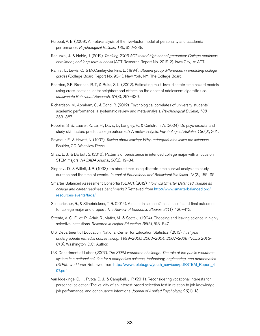- Poropat, A. E. (2009). A meta-analysis of the five-factor model of personality and academic performance. *Psychological Bulletin, 135*, 322–338.
- Radunzel, J., & Noble, J. (2012). *Tracking 2003 ACT-tested high school graduates: College readiness, enrollment, and long-term success* (ACT Research Report No. 2012-2). Iowa City, IA: ACT.
- Ramist, L., Lewis, C., & McCamley-Jenkins, L. (1994). *Student group differences in predicting college grades* (College Board Report No. 93-1). New York, NY: The College Board.
- Reardon, S.F., Brennan, R. T., & Buka, S. L. (2002). Estimating multi-level discrete-time hazard models using cross-sectional data: neighborhood effects on the onset of adolescent cigarette use. *Multivariate Behavioral Research*, *37*(3), 297–330.
- Richardson, M., Abraham, C., & Bond, R. (2012). Psychological correlates of university students' academic performance: a systematic review and meta-analysis. *Psychological Bulletin*, *138*, 353–387.
- Robbins, S. B., Lauver, K., Le, H., Davis, D., Langley, R., & Carlstrom, A. (2004). Do psychosocial and study skill factors predict college outcomes? A meta-analysis. *Psychological Bulletin*, *130*(2), 261.
- Seymour, E., & Hewitt, N. (1997). *Talking about leaving: Why undergraduates leave the sciences*. Boulder, CO: Westview Press.
- Shaw, E. J., & Barbuti, S. (2010). Patterns of persistence in intended college major with a focus on STEM majors. *NACADA Journal*, *30*(2), 19–34.
- Singer, J. D., & Willett, J. B. (1993). It's about time: using discrete-time survival analysis to study duration and the time of events. *Journal of Educational and Behavioral Statistics, 18(2)*, 155–95.
- Smarter Balanced Assessment Consortia (SBAC). (2012). *How will Smarter Balanced validate its college and career readiness benchmarks?* Retrieved, from [http://www.smarterbalanced.org/](http://www.smarterbalanced.org/resources-events/faqs/) [resources-events/faqs/](http://www.smarterbalanced.org/resources-events/faqs/)
- Stinebrickner, R., & Stinebrickner, T. R. (2014). A major in science? Initial beliefs and final outcomes for college major and dropout. *The Review of Economic Studies*, *81*(1), 426–472.
- Strenta, A. C., Elliot, R., Adair, R., Matier, M., & Scott, J. (1994). Choosing and leaving science in highly selective institutions. *Research in Higher Education*, *35*(5), 513–547.
- U.S. Department of Education, National Center for Education Statistics. (2013). *First year undergraduate remedial course taking: 1999–2000, 2003–2004, 2007–2008 (NCES 2013- 013).* Washington, D.C.: Author.
- U.S. Department of Labor. (2007). *The STEM workforce challenge: The role of the public workforce system in a national solution for a competitive science, technology, engineering, and mathematics (STEM) workforce*. Retrieved from [http://www.doleta.gov/youth\\_services/pdf/STEM\\_Report\\_4](http://www.doleta.gov/youth_services/pdf/STEM_Report_4%2007.pdf)  [07.pdf](http://www.doleta.gov/youth_services/pdf/STEM_Report_4%2007.pdf)
- Van Iddekinge, C. H., Putka, D. J., & Campbell, J. P. (2011). Reconsidering vocational interests for personnel selection: The validity of an interest-based selection test in relation to job knowledge, job performance, and continuance intentions. *Journal of Applied Psychology*, *96*(1), 13.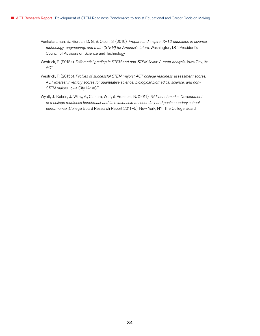- Venkataraman, B., Riordan, D. G., & Olson, S. (2010). *Prepare and inspire: K–12 education in science, technology, engineering, and math (STEM) for America's future*. Washington, DC: President's Council of Advisors on Science and Technology.
- Westrick, P. (2015a). *Differential grading in STEM and non-STEM fields: A meta-analysis*. Iowa City, IA: ACT.
- Westrick, P. (2015b). *Profiles of successful STEM majors: ACT college readiness assessment scores, ACT Interest Inventory scores for quantitative science, biological\biomedical science, and non-STEM majors*. Iowa City, IA: ACT.
- Wyatt, J., Kobrin, J., Wiley, A., Camara, W. J., & Proestler, N. (2011). *SAT benchmarks: Development of a college readiness benchmark and its relationship to secondary and postsecondary school performance* (College Board Research Report 2011–5). New York, NY: The College Board.